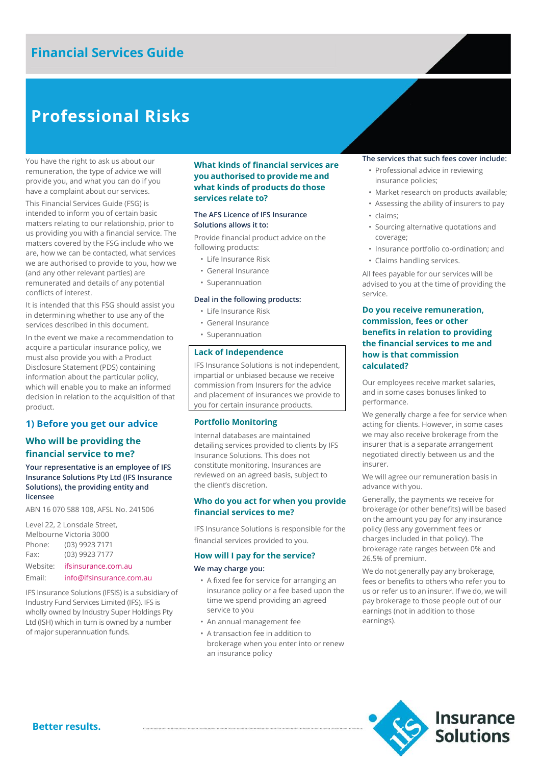## **Financial Services Guide**

# **Professional Risks**

You have the right to ask us about our remuneration, the type of advice we will provide you, and what you can do if you have a complaint about our services.

This Financial Services Guide (FSG) is intended to inform you of certain basic matters relating to our relationship, prior to us providing you with a financial service. The matters covered by the FSG include who we are, how we can be contacted, what services we are authorised to provide to you, how we (and any other relevant parties) are remunerated and details of any potential conflicts of interest.

It is intended that this FSG should assist you in determining whether to use any of the services described in this document.

In the event we make a recommendation to acquire a particular insurance policy, we must also provide you with a Product Disclosure Statement (PDS) containing information about the particular policy, which will enable you to make an informed decision in relation to the acquisition of that product.

### **1) Before you get our advice**

## **Who will be providing the financial service to me?**

### **Your representative is an employee of IFS Insurance Solutions Pty Ltd (IFS Insurance Solutions), the providing entity and licensee**

ABN 16 070 588 108, AFSL No. 241506

Level 22, 2 Lonsdale Street, Melbourne Victoria 3000 Phone: (03) 9923 7171 Fax: (03) 9923 7177 Website: [ifsinsurance.com.au](http://www.ifsinsurance.com.au/)

### Email: [info@ifsinsurance.com.au](mailto:info@ifsinsurance.com.au)

IFS Insurance Solutions (IFSIS) is a subsidiary of Industry Fund Services Limited (IFS). IFS is wholly owned by Industry Super Holdings Pty Ltd (ISH) which in turn is owned by a number of major superannuation funds.

### **What kinds of financial services are you authorised to provide me and what kinds of products do those services relate to?**

### **The AFS Licence of IFS Insurance Solutions allows it to:**

Provide financial product advice on the following products:

- Life Insurance Risk
- General Insurance
- Superannuation

### **Deal in the following products:**

- Life Insurance Risk
- General Insurance
- Superannuation

### **Lack of Independence**

IFS Insurance Solutions is not independent, impartial or unbiased because we receive commission from Insurers for the advice and placement of insurances we provide to you for certain insurance products.

### **Portfolio Monitoring**

Internal databases are maintained detailing services provided to clients by IFS Insurance Solutions. This does not constitute monitoring. Insurances are reviewed on an agreed basis, subject to the client's discretion.

### **Who do you act for when you provide financial services to me?**

IFS Insurance Solutions is responsible for the financial services provided to you.

### **How will I pay for the service?**

### **We may charge you:**

- A fixed fee for service for arranging an insurance policy or a fee based upon the time we spend providing an agreed service to you
- An annual management fee
- A transaction fee in addition to brokerage when you enter into or renew an insurance policy

### **The services that such fees cover include:**

- Professional advice in reviewing insurance policies;
- Market research on products available;
- Assessing the ability of insurers to pay
- claims;
- Sourcing alternative quotations and coverage;
- Insurance portfolio co-ordination; and
- Claims handling services.

All fees payable for our services will be advised to you at the time of providing the service.

## **Do you receive remuneration, commission, fees or other benefits in relation to providing the financial services to me and how is that commission calculated?**

Our employees receive market salaries, and in some cases bonuses linked to performance.

We generally charge a fee for service when acting for clients. However, in some cases we may also receive brokerage from the insurer that is a separate arrangement negotiated directly between us and the insurer.

We will agree our remuneration basis in advance with you.

Generally, the payments we receive for brokerage (or other benefits) will be based on the amount you pay for any insurance policy (less any government fees or charges included in that policy). The brokerage rate ranges between 0% and 26.5% of premium.

We do not generally pay any brokerage, fees or benefits to others who refer you to us or refer us to an insurer. If we do, we will pay brokerage to those people out of our earnings (not in addition to those earnings).

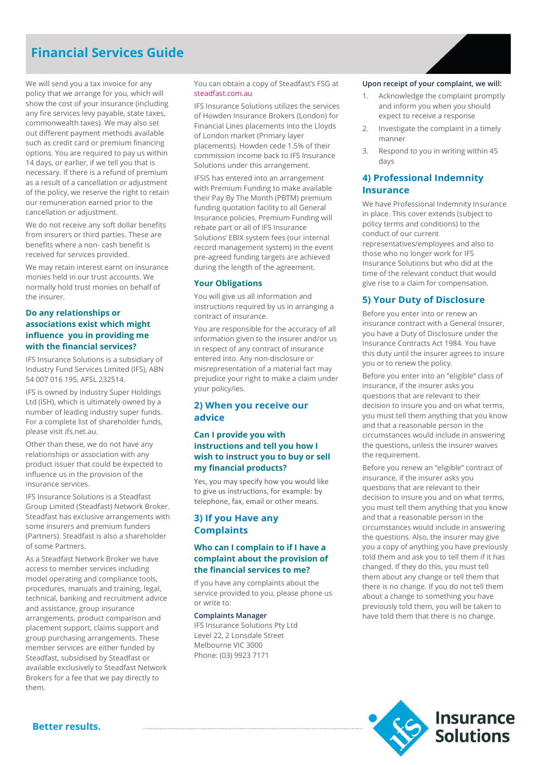## **Financial Services Guide**

We will send you a tax invoice for any policy that we arrange for you, which will show the cost of your insurance (including any fire services levy payable, state taxes, commonwealth taxes). We may also set out different payment methods available such as credit card or premium financing options. You are required to pay us within 14 days, or earlier, if we tell you that is necessary. If there is a refund of premium as a result of a cancellation or adjustment of the policy, we reserve the right to retain our remuneration earned prior to the cancellation or adjustment.

We do not receive any soft dollar benefits from insurers or third parties. These are benefits where a non- cash benefit is received for services provided.

We may retain interest earnt on insurance monies held in our trust accounts. We normally hold trust monies on behalf of the insurer.

## **Do any relationships or associations exist which might influence you in providing me with the financial services?**

IFS Insurance Solutions is a subsidiary of Industry Fund Services Limited (IFS), ABN 54 007 016 195, AFSL 232514.

IFS is owned by Industry Super Holdings Ltd (ISH), which is ultimately owned by a number of leading industry super funds. For a complete list of shareholder funds, please visit ifs.net.au.

Other than these, we do not have any relationships or association with any product issuer that could be expected to influence us in the provision of the insurance services.

IFS Insurance Solutions is a Steadfast Group Limited (Steadfast) Network Broker. Steadfast has exclusive arrangements with some insurers and premium funders (Partners). Steadfast is also a shareholder of some Partners.

As a Steadfast Network Broker we have access to member services including model operating and compliance tools, procedures, manuals and training, legal, technical, banking and recruitment advice and assistance, group insurance arrangements, product comparison and placement support, claims support and group purchasing arrangements. These member services are either funded by Steadfast, subsidised by Steadfast or available exclusively to Steadfast Network Brokers for a fee that we pay directly to them.

You can obtain a copy of Steadfast's FSG at [steadfast.com.au](http://www.steadfast.com.au/)

IFS Insurance Solutions utilizes the services of Howden Insurance Brokers (London) for Financial Lines placements into the Lloyds of London market (Primary layer placements). Howden cede 1.5% of their commission income back to IFS Insurance Solutions under this arrangement.

IFSIS has entered into an arrangement with Premium Funding to make available their Pay By The Month (PBTM) premium funding quotation facility to all General Insurance policies. Premium Funding will rebate part or all of IFS Insurance Solutions' EBIX system fees (our internal record management system) in the event pre-agreed funding targets are achieved during the length of the agreement.

### **Your Obligations**

You will give us all information and instructions required by us in arranging a contract of insurance.

You are responsible for the accuracy of all information given to the insurer and/or us in respect of any contract of insurance entered into. Any non-disclosure or misrepresentation of a material fact may prejudice your right to make a claim under your policy/ies.

## **2) When you receive our advice**

## **Can I provide you with instructions and tell you how I wish to instruct you to buy or sell my financial products?**

Yes, you may specify how you would like to give us instructions, for example: by telephone, fax, email or other means.

## **3) If you Have any Complaints**

## **Who can I complain to if I have a complaint about the provision of the financial services to me?**

If you have any complaints about the service provided to you, please phone us or write to:

### **Complaints Manager**

IFS Insurance Solutions Pty Ltd Level 22, 2 Lonsdale Street Melbourne VIC 3000 Phone: (03) 9923 7171

### **Upon receipt of your complaint, we will:**

- Acknowledge the complaint promptly and inform you when you should expect to receive a response
- 2. Investigate the complaint in a timely manner
- 3. Respond to you in writing within 45 days

## **4) Professional Indemnity Insurance**

We have Professional Indemnity Insurance in place. This cover extends (subject to policy terms and conditions) to the conduct of our current representatives/employees and also to those who no longer work for IFS Insurance Solutions but who did at the time of the relevant conduct that would give rise to a claim for compensation.

### **5) Your Duty of Disclosure**

Before you enter into or renew an insurance contract with a General Insurer, you have a Duty of Disclosure under the Insurance Contracts Act 1984. You have this duty until the insurer agrees to insure you or to renew the policy.

Before you enter into an "eligible" class of insurance, if the insurer asks you questions that are relevant to their decision to insure you and on what terms, you must tell them anything that you know and that a reasonable person in the circumstances would include in answering the questions, unless the insurer waives the requirement.

Before you renew an "eligible" contract of insurance, if the insurer asks you questions that are relevant to their decision to insure you and on what terms, you must tell them anything that you know and that a reasonable person in the circumstances would include in answering the questions. Also, the insurer may give you a copy of anything you have previously told them and ask you to tell them if it has changed. If they do this, you must tell them about any change or tell them that there is no change. If you do not tell them about a change to something you have previously told them, you will be taken to have told them that there is no change.